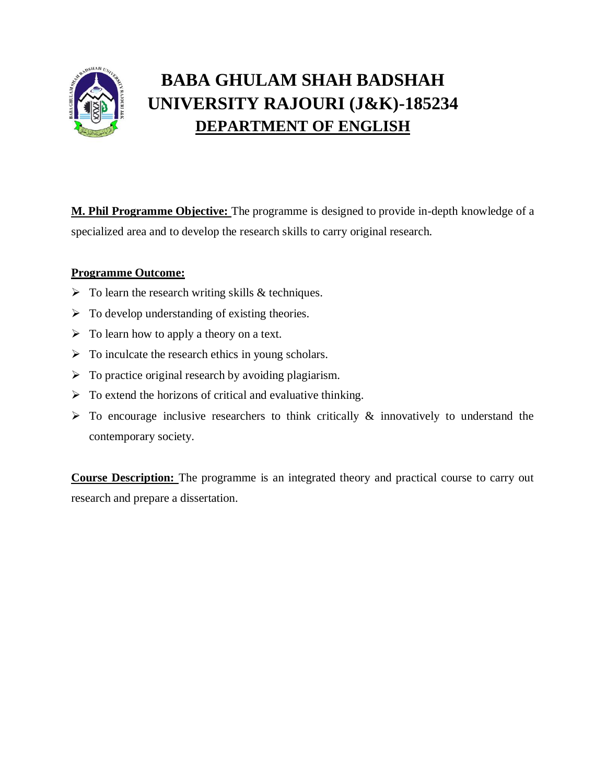

# **BABA GHULAM SHAH BADSHAH UNIVERSITY RAJOURI (J&K)-185234 DEPARTMENT OF ENGLISH**

**M. Phil Programme Objective:** The programme is designed to provide in-depth knowledge of a specialized area and to develop the research skills to carry original research.

# **Programme Outcome:**

- $\triangleright$  To learn the research writing skills & techniques.
- $\triangleright$  To develop understanding of existing theories.
- $\triangleright$  To learn how to apply a theory on a text.
- $\triangleright$  To inculcate the research ethics in young scholars.
- $\triangleright$  To practice original research by avoiding plagiarism.
- $\triangleright$  To extend the horizons of critical and evaluative thinking.
- $\triangleright$  To encourage inclusive researchers to think critically  $\&$  innovatively to understand the contemporary society.

**Course Description:** The programme is an integrated theory and practical course to carry out research and prepare a dissertation.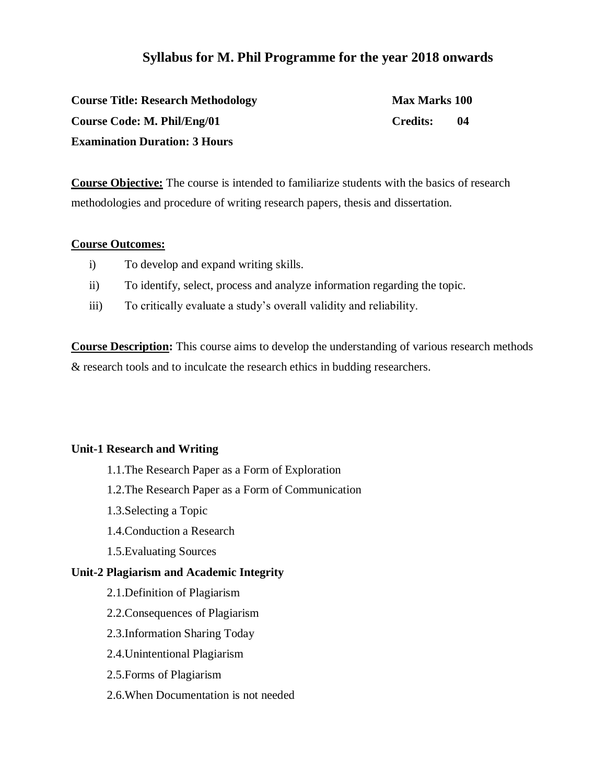# **Syllabus for M. Phil Programme for the year 2018 onwards**

| <b>Course Title: Research Methodology</b> | <b>Max Marks 100</b> |    |
|-------------------------------------------|----------------------|----|
| Course Code: M. Phil/Eng/01               | <b>Credits:</b>      | 04 |
| <b>Examination Duration: 3 Hours</b>      |                      |    |

**Course Objective:** The course is intended to familiarize students with the basics of research methodologies and procedure of writing research papers, thesis and dissertation.

#### **Course Outcomes:**

- i) To develop and expand writing skills.
- ii) To identify, select, process and analyze information regarding the topic.
- iii) To critically evaluate a study's overall validity and reliability.

**Course Description:** This course aims to develop the understanding of various research methods & research tools and to inculcate the research ethics in budding researchers.

#### **Unit-1 Research and Writing**

- 1.1.The Research Paper as a Form of Exploration
- 1.2.The Research Paper as a Form of Communication
- 1.3.Selecting a Topic
- 1.4.Conduction a Research
- 1.5.Evaluating Sources

#### **Unit-2 Plagiarism and Academic Integrity**

- 2.1.Definition of Plagiarism
- 2.2.Consequences of Plagiarism
- 2.3.Information Sharing Today
- 2.4.Unintentional Plagiarism
- 2.5.Forms of Plagiarism
- 2.6.When Documentation is not needed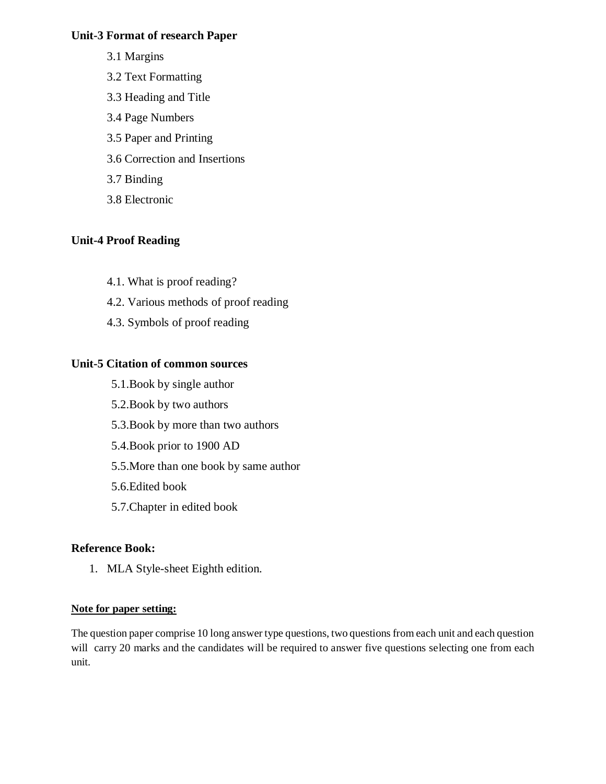#### **Unit-3 Format of research Paper**

- 3.1 Margins
- 3.2 Text Formatting
- 3.3 Heading and Title
- 3.4 Page Numbers
- 3.5 Paper and Printing
- 3.6 Correction and Insertions
- 3.7 Binding
- 3.8 Electronic

# **Unit-4 Proof Reading**

- 4.1. What is proof reading?
- 4.2. Various methods of proof reading
- 4.3. Symbols of proof reading

# **Unit-5 Citation of common sources**

- 5.1.Book by single author
- 5.2.Book by two authors
- 5.3.Book by more than two authors
- 5.4.Book prior to 1900 AD
- 5.5.More than one book by same author
- 5.6.Edited book
- 5.7.Chapter in edited book

# **Reference Book:**

1. MLA Style-sheet Eighth edition.

#### **Note for paper setting:**

The question paper comprise 10 long answer type questions, two questions from each unit and each question will carry 20 marks and the candidates will be required to answer five questions selecting one from each unit.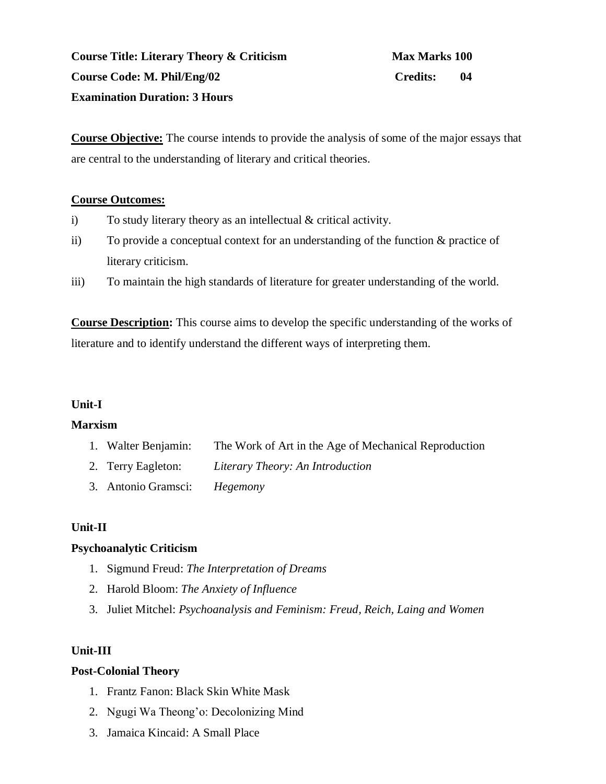**Course Title: Literary Theory & Criticism Max Marks 100 Course Code: M. Phil/Eng/02 Credits: 04 Examination Duration: 3 Hours**

**Course Objective:** The course intends to provide the analysis of some of the major essays that are central to the understanding of literary and critical theories.

#### **Course Outcomes:**

- i) To study literary theory as an intellectual & critical activity.
- ii) To provide a conceptual context for an understanding of the function & practice of literary criticism.
- iii) To maintain the high standards of literature for greater understanding of the world.

**Course Description:** This course aims to develop the specific understanding of the works of literature and to identify understand the different ways of interpreting them.

#### **Unit-I**

#### **Marxism**

- 1. Walter Benjamin: The Work of Art in the Age of Mechanical Reproduction
- 2. Terry Eagleton: *Literary Theory: An Introduction*
- 3. Antonio Gramsci: *Hegemony*

#### **Unit-II**

#### **Psychoanalytic Criticism**

- 1. Sigmund Freud: *The Interpretation of Dreams*
- 2. Harold Bloom: *The Anxiety of Influence*
- 3. Juliet Mitchel: *Psychoanalysis and Feminism: Freud, Reich, Laing and Women*

# **Unit-III**

#### **Post-Colonial Theory**

- 1. Frantz Fanon: Black Skin White Mask
- 2. Ngugi Wa Theong'o: Decolonizing Mind
- 3. Jamaica Kincaid: A Small Place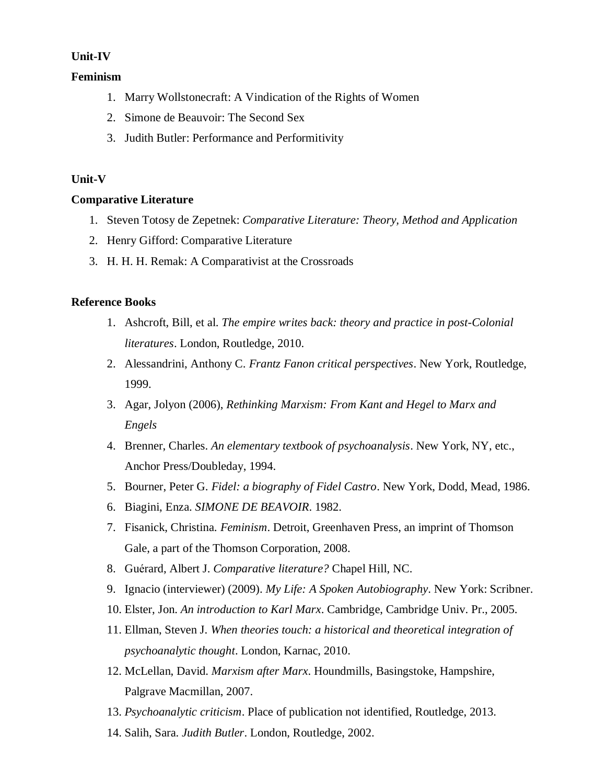#### **Unit-IV**

#### **Feminism**

- 1. Marry Wollstonecraft: A Vindication of the Rights of Women
- 2. Simone de Beauvoir: The Second Sex
- 3. Judith Butler: Performance and Performitivity

#### **Unit-V**

#### **Comparative Literature**

- 1. Steven Totosy de Zepetnek: *Comparative Literature: Theory, Method and Application*
- 2. Henry Gifford: Comparative Literature
- 3. H. H. H. Remak: A Comparativist at the Crossroads

#### **Reference Books**

- 1. Ashcroft, Bill, et al. *The empire writes back: theory and practice in post-Colonial literatures*. London, Routledge, 2010.
- 2. Alessandrini, Anthony C. *Frantz Fanon critical perspectives*. New York, Routledge, 1999.
- 3. Agar, Jolyon (2006), *Rethinking Marxism: From Kant and Hegel to Marx and Engels*
- 4. Brenner, Charles. *An elementary textbook of psychoanalysis*. New York, NY, etc., Anchor Press/Doubleday, 1994.
- 5. Bourner, Peter G. *Fidel: a biography of Fidel Castro*. New York, Dodd, Mead, 1986.
- 6. Biagini, Enza. *SIMONE DE BEAVOIR*. 1982.
- 7. Fisanick, Christina. *Feminism*. Detroit, Greenhaven Press, an imprint of Thomson Gale, a part of the Thomson Corporation, 2008.
- 8. Guérard, Albert J. *Comparative literature?* Chapel Hill, NC.
- 9. Ignacio (interviewer) (2009). *My Life: A Spoken Autobiography*. New York: Scribner.
- 10. Elster, Jon. *An introduction to Karl Marx*. Cambridge, Cambridge Univ. Pr., 2005.
- 11. Ellman, Steven J. *When theories touch: a historical and theoretical integration of psychoanalytic thought*. London, Karnac, 2010.
- 12. McLellan, David. *Marxism after Marx*. Houndmills, Basingstoke, Hampshire, Palgrave Macmillan, 2007.
- 13. *Psychoanalytic criticism*. Place of publication not identified, Routledge, 2013.
- 14. Salih, Sara. *Judith Butler*. London, Routledge, 2002.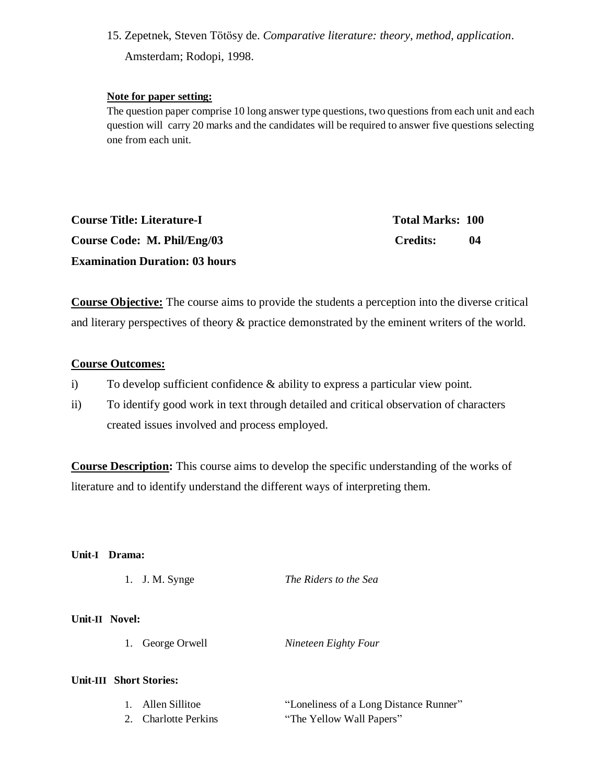15. Zepetnek, Steven Tötösy de. *Comparative literature: theory, method, application*. Amsterdam; Rodopi, 1998.

#### **Note for paper setting:**

The question paper comprise 10 long answer type questions, two questions from each unit and each question will carry 20 marks and the candidates will be required to answer five questions selecting one from each unit.

| <b>Course Title: Literature-I</b>     | <b>Total Marks: 100</b> |     |
|---------------------------------------|-------------------------|-----|
| Course Code: M. Phil/Eng/03           | Credits:                | -04 |
| <b>Examination Duration: 03 hours</b> |                         |     |

**Course Objective:** The course aims to provide the students a perception into the diverse critical and literary perspectives of theory & practice demonstrated by the eminent writers of the world.

#### **Course Outcomes:**

- i) To develop sufficient confidence & ability to express a particular view point.
- ii) To identify good work in text through detailed and critical observation of characters created issues involved and process employed.

**Course Description:** This course aims to develop the specific understanding of the works of literature and to identify understand the different ways of interpreting them.

#### **Unit-I Drama:**

|  | 1. J. M. Synge | The Riders to the Sea |  |
|--|----------------|-----------------------|--|
|--|----------------|-----------------------|--|

#### **Unit-II Novel:**

1. George Orwell *Nineteen Eighty Four*

#### **Unit-III Short Stories:**

| 1. Allen Sillitoe    | "Loneliness of a Long Distance Runner" |
|----------------------|----------------------------------------|
| 2. Charlotte Perkins | "The Yellow Wall Papers"               |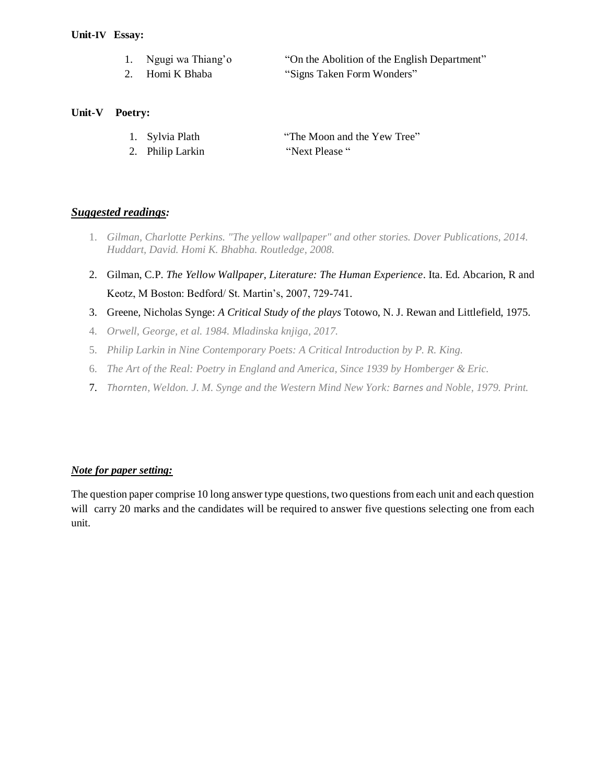#### **Unit-IV Essay:**

- 1. Ngugi wa Thiang'o "On the Abolition of the English Department"
- 2. Homi K Bhaba "Signs Taken Form Wonders"

#### **Unit-V Poetry:**

- 1. Sylvia Plath "The Moon and the Yew Tree"
- 2. Philip Larkin "Next Please "

#### *Suggested readings:*

- 1. *Gilman, Charlotte Perkins. "The yellow wallpaper" and other stories. Dover Publications, 2014. Huddart, David. Homi K. Bhabha. Routledge, 2008.*
- 2. Gilman, C.P. *The Yellow Wallpaper, Literature: The Human Experience*. Ita. Ed. Abcarion, R and Keotz, M Boston: Bedford/ St. Martin's, 2007, 729-741.
- 3. Greene, Nicholas Synge: *A Critical Study of the plays* Totowo, N. J. Rewan and Littlefield, 1975.
- 4. *Orwell, George, et al. 1984. Mladinska knjiga, 2017.*
- 5. *Philip Larkin in Nine Contemporary Poets: A Critical Introduction by P. R. King.*
- 6. *The Art of the Real: Poetry in England and America, Since 1939 by Homberger & Eric.*
- 7. *Thornten, Weldon. J. M. Synge and the Western Mind New York: Barnes and Noble, 1979. Print.*

#### *Note for paper setting:*

The question paper comprise 10 long answer type questions, two questions from each unit and each question will carry 20 marks and the candidates will be required to answer five questions selecting one from each unit.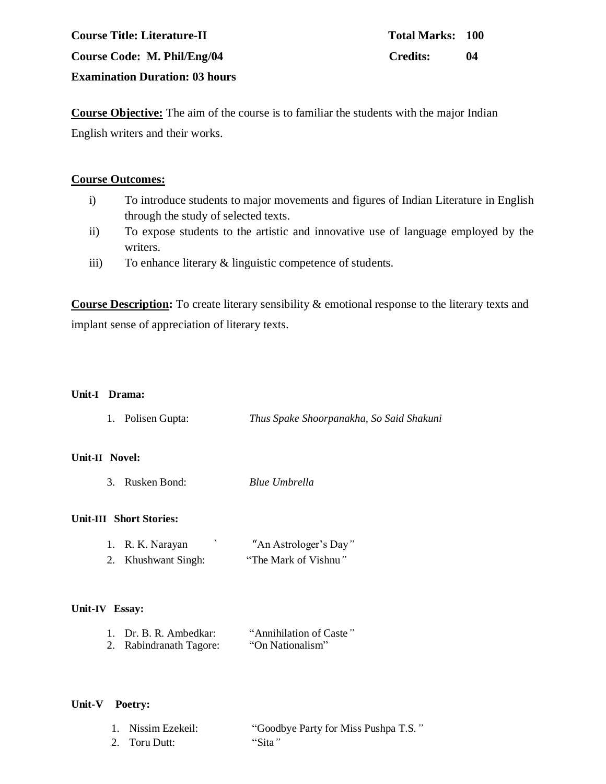# **Course Title: Literature-II Total Marks: 100 Course Code: M. Phil/Eng/04 Credits: 04 Examination Duration: 03 hours**

**Course Objective:** The aim of the course is to familiar the students with the major Indian English writers and their works.

#### **Course Outcomes:**

- i) To introduce students to major movements and figures of Indian Literature in English through the study of selected texts.
- ii) To expose students to the artistic and innovative use of language employed by the writers.
- iii) To enhance literary & linguistic competence of students.

**Course Description:** To create literary sensibility & emotional response to the literary texts and implant sense of appreciation of literary texts.

#### **Unit-I Drama:**

| 1. Polisen Gupta: | Thus Spake Shoorpanakha, So Said Shakuni |
|-------------------|------------------------------------------|
|                   |                                          |

#### **Unit-II Novel:**

3. Rusken Bond: *Blue Umbrella*

#### **Unit-III Short Stories:**

| 1. R. K. Narayan    | "An Astrologer's Day" |
|---------------------|-----------------------|
| 2. Khushwant Singh: | "The Mark of Vishnu"  |

#### **Unit-IV Essay:**

| 1. Dr. B. R. Ambedkar:  | "Annihilation of Caste" |
|-------------------------|-------------------------|
| 2. Rabindranath Tagore: | "On Nationalism"        |

#### **Unit-V Poetry:**

| 1. Nissim Ezekeil: | "Goodbye Party for Miss Pushpa T.S." |
|--------------------|--------------------------------------|
| 2. Toru Dutt:      | "Sita"                               |